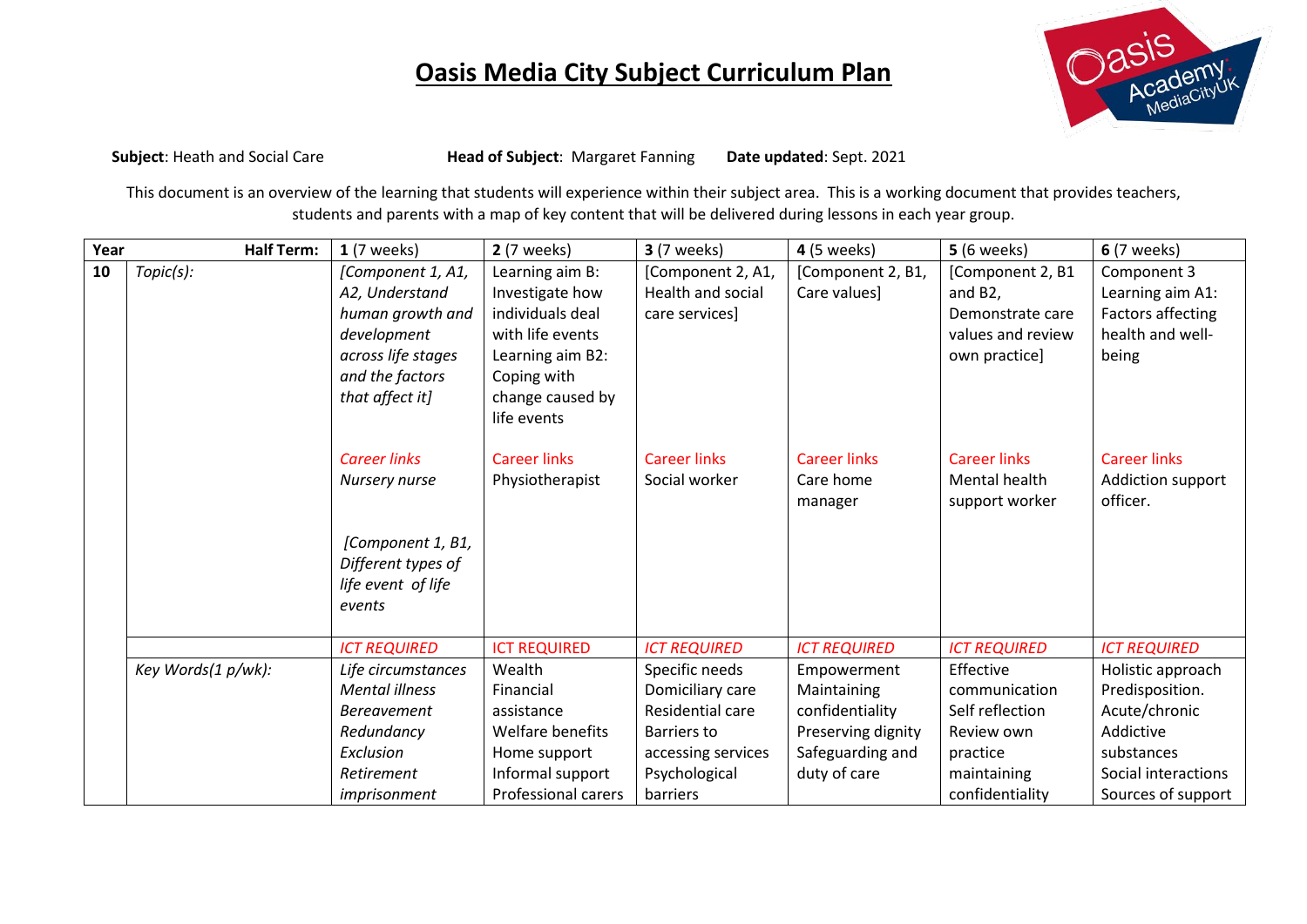

**Subject**: Heath and Social Care **Head of Subject**: Margaret Fanning **Date updated**: Sept. 2021

This document is an overview of the learning that students will experience within their subject area. This is a working document that provides teachers, students and parents with a map of key content that will be delivered during lessons in each year group.

| Year | <b>Half Term:</b>  | $1(7 \text{ weeks})$                                                                                                                                                                                                                                  | <b>2</b> (7 weeks)                                                                                                                                                                         | <b>3</b> (7 weeks)                                                                                                       | 4 (5 weeks)                                                                                             | <b>5</b> (6 weeks)                                                                                                                              | <b>6</b> (7 weeks)                                                                                                                               |
|------|--------------------|-------------------------------------------------------------------------------------------------------------------------------------------------------------------------------------------------------------------------------------------------------|--------------------------------------------------------------------------------------------------------------------------------------------------------------------------------------------|--------------------------------------------------------------------------------------------------------------------------|---------------------------------------------------------------------------------------------------------|-------------------------------------------------------------------------------------------------------------------------------------------------|--------------------------------------------------------------------------------------------------------------------------------------------------|
| 10   | Topic(s):          | [Component 1, A1,<br>A2, Understand<br>human growth and<br>development<br>across life stages<br>and the factors<br>that affect it]<br><b>Career links</b><br>Nursery nurse<br>[Component 1, B1,<br>Different types of<br>life event of life<br>events | Learning aim B:<br>Investigate how<br>individuals deal<br>with life events<br>Learning aim B2:<br>Coping with<br>change caused by<br>life events<br><b>Career links</b><br>Physiotherapist | [Component 2, A1,<br>Health and social<br>care services]<br><b>Career links</b><br>Social worker                         | [Component 2, B1,<br>Care values]<br><b>Career links</b><br>Care home<br>manager                        | [Component 2, B1<br>and B2,<br>Demonstrate care<br>values and review<br>own practice]<br><b>Career links</b><br>Mental health<br>support worker | Component 3<br>Learning aim A1:<br><b>Factors affecting</b><br>health and well-<br>being<br><b>Career links</b><br>Addiction support<br>officer. |
|      |                    | <b>ICT REQUIRED</b>                                                                                                                                                                                                                                   | <b>ICT REQUIRED</b>                                                                                                                                                                        | <b>ICT REQUIRED</b>                                                                                                      | <b>ICT REQUIRED</b>                                                                                     | <b>ICT REQUIRED</b>                                                                                                                             | <b>ICT REQUIRED</b>                                                                                                                              |
|      | Key Words(1 p/wk): | Life circumstances<br><b>Mental illness</b><br><b>Bereavement</b><br>Redundancy<br>Exclusion<br>Retirement<br>imprisonment                                                                                                                            | Wealth<br>Financial<br>assistance<br>Welfare benefits<br>Home support<br>Informal support<br><b>Professional carers</b>                                                                    | Specific needs<br>Domiciliary care<br>Residential care<br>Barriers to<br>accessing services<br>Psychological<br>barriers | Empowerment<br>Maintaining<br>confidentiality<br>Preserving dignity<br>Safeguarding and<br>duty of care | Effective<br>communication<br>Self reflection<br>Review own<br>practice<br>maintaining<br>confidentiality                                       | Holistic approach<br>Predisposition.<br>Acute/chronic<br>Addictive<br>substances<br>Social interactions<br>Sources of support                    |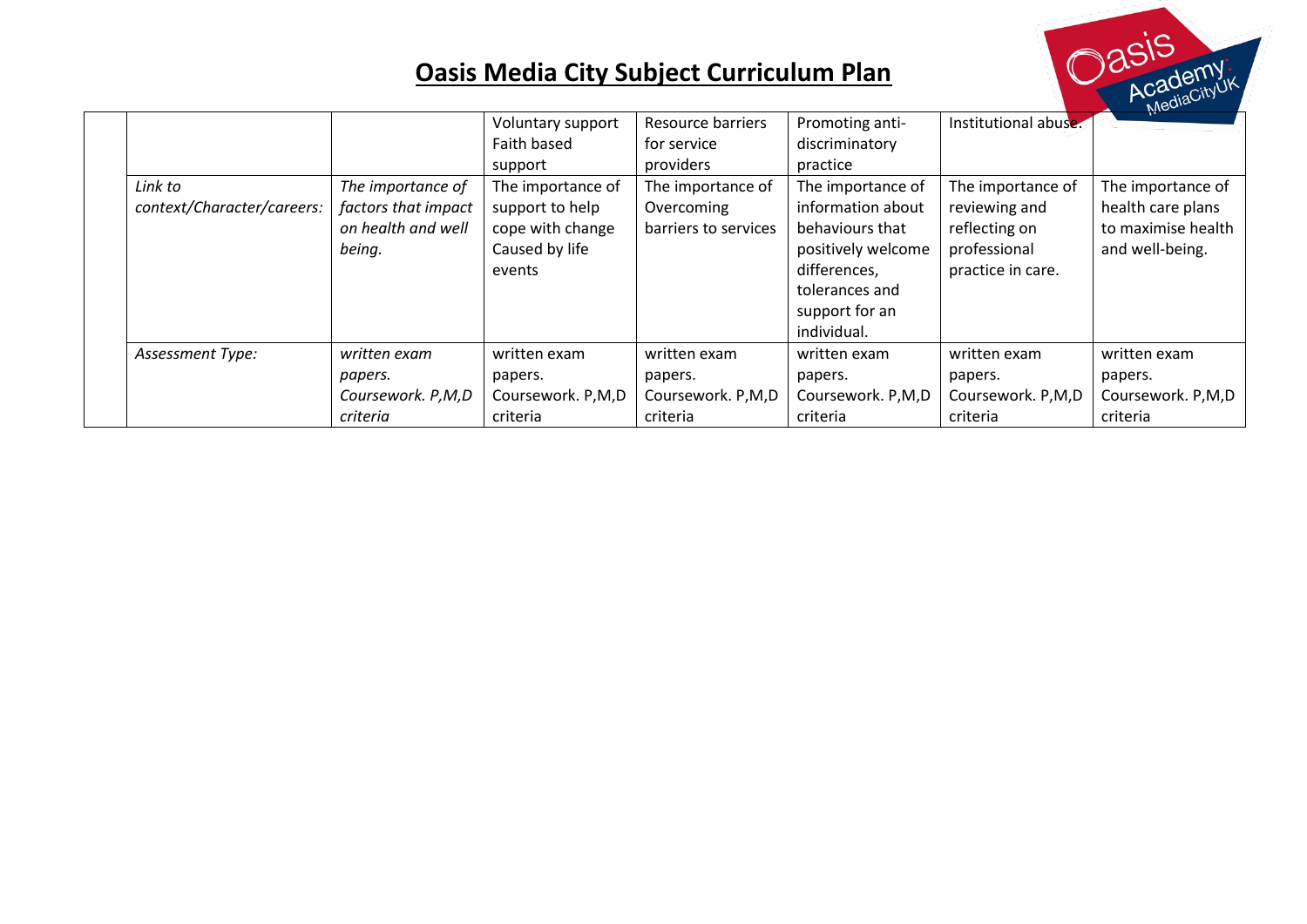

|                            |                     |                   |                      |                    |                      | $M_{\rm K}$        |
|----------------------------|---------------------|-------------------|----------------------|--------------------|----------------------|--------------------|
|                            |                     | Voluntary support | Resource barriers    | Promoting anti-    | Institutional abuse. |                    |
|                            |                     | Faith based       | for service          | discriminatory     |                      |                    |
|                            |                     | support           | providers            | practice           |                      |                    |
| Link to                    | The importance of   | The importance of | The importance of    | The importance of  | The importance of    | The importance of  |
| context/Character/careers: | factors that impact | support to help   | Overcoming           | information about  | reviewing and        | health care plans  |
|                            | on health and well  | cope with change  | barriers to services | behaviours that    | reflecting on        | to maximise health |
|                            | being.              | Caused by life    |                      | positively welcome | professional         | and well-being.    |
|                            |                     | events            |                      | differences,       | practice in care.    |                    |
|                            |                     |                   |                      | tolerances and     |                      |                    |
|                            |                     |                   |                      | support for an     |                      |                    |
|                            |                     |                   |                      | individual.        |                      |                    |
| Assessment Type:           | written exam        | written exam      | written exam         | written exam       | written exam         | written exam       |
|                            | papers.             | papers.           | papers.              | papers.            | papers.              | papers.            |
|                            | Coursework. P,M,D   | Coursework. P,M,D | Coursework. P,M,D    | Coursework. P,M,D  | Coursework. P,M,D    | Coursework. P,M,D  |
|                            | criteria            | criteria          | criteria             | criteria           | criteria             | criteria           |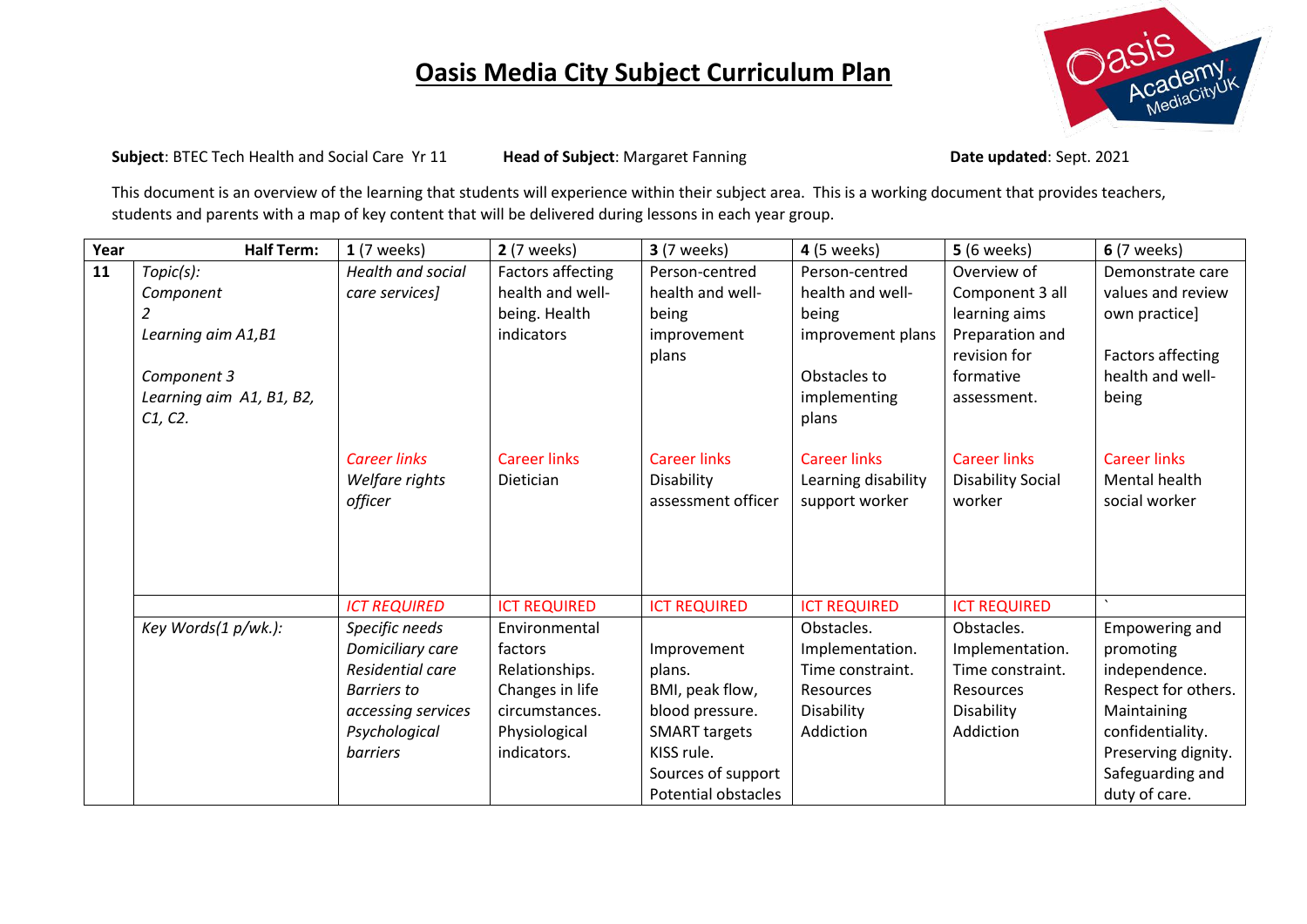

**Subject**: BTEC Tech Health and Social Care Yr 11 **Head of Subject**: Margaret Fanning **Date in the Updated**: Sept. 2021

This document is an overview of the learning that students will experience within their subject area. This is a working document that provides teachers, students and parents with a map of key content that will be delivered during lessons in each year group.

| Year | <b>Half Term:</b>        | $1(7$ weeks)                                     | <b>2</b> (7 weeks)               | <b>3</b> (7 weeks)                                      | <b>4</b> (5 weeks)                                           | <b>5</b> (6 weeks)                                        | <b>6</b> (7 weeks)                                    |
|------|--------------------------|--------------------------------------------------|----------------------------------|---------------------------------------------------------|--------------------------------------------------------------|-----------------------------------------------------------|-------------------------------------------------------|
| 11   | Topic(s):                | Health and social                                | <b>Factors affecting</b>         | Person-centred                                          | Person-centred                                               | Overview of                                               | Demonstrate care                                      |
|      | Component                | care services]                                   | health and well-                 | health and well-                                        | health and well-                                             | Component 3 all                                           | values and review                                     |
|      | 2                        |                                                  | being. Health                    | being                                                   | being                                                        | learning aims                                             | own practice]                                         |
|      | Learning aim A1, B1      |                                                  | indicators                       | improvement                                             | improvement plans                                            | Preparation and                                           |                                                       |
|      |                          |                                                  |                                  | plans                                                   |                                                              | revision for                                              | Factors affecting                                     |
|      | Component 3              |                                                  |                                  |                                                         | Obstacles to                                                 | formative                                                 | health and well-                                      |
|      | Learning aim A1, B1, B2, |                                                  |                                  |                                                         | implementing                                                 | assessment.                                               | being                                                 |
|      | C1, C2.                  |                                                  |                                  |                                                         | plans                                                        |                                                           |                                                       |
|      |                          | <b>Career links</b><br>Welfare rights<br>officer | <b>Career links</b><br>Dietician | <b>Career links</b><br>Disability<br>assessment officer | <b>Career links</b><br>Learning disability<br>support worker | <b>Career links</b><br><b>Disability Social</b><br>worker | <b>Career links</b><br>Mental health<br>social worker |
|      |                          |                                                  |                                  |                                                         |                                                              |                                                           |                                                       |
|      |                          | <b>ICT REQUIRED</b>                              | <b>ICT REQUIRED</b>              | <b>ICT REQUIRED</b>                                     | <b>ICT REQUIRED</b>                                          | <b>ICT REQUIRED</b>                                       |                                                       |
|      | Key Words(1 p/wk.):      | Specific needs                                   | Environmental                    |                                                         | Obstacles.                                                   | Obstacles.                                                | Empowering and                                        |
|      |                          | Domiciliary care                                 | factors                          | Improvement                                             | Implementation.                                              | Implementation.                                           | promoting                                             |
|      |                          | Residential care                                 | Relationships.                   | plans.                                                  | Time constraint.                                             | Time constraint.                                          | independence.                                         |
|      |                          | <b>Barriers</b> to                               | Changes in life                  | BMI, peak flow,                                         | <b>Resources</b>                                             | Resources                                                 | Respect for others.                                   |
|      |                          | accessing services                               | circumstances.                   | blood pressure.                                         | Disability                                                   | Disability                                                | Maintaining                                           |
|      |                          | Psychological                                    | Physiological                    | <b>SMART targets</b>                                    | Addiction                                                    | Addiction                                                 | confidentiality.                                      |
|      |                          | <b>barriers</b>                                  | indicators.                      | KISS rule.                                              |                                                              |                                                           | Preserving dignity.                                   |
|      |                          |                                                  |                                  | Sources of support                                      |                                                              |                                                           | Safeguarding and                                      |
|      |                          |                                                  |                                  | <b>Potential obstacles</b>                              |                                                              |                                                           | duty of care.                                         |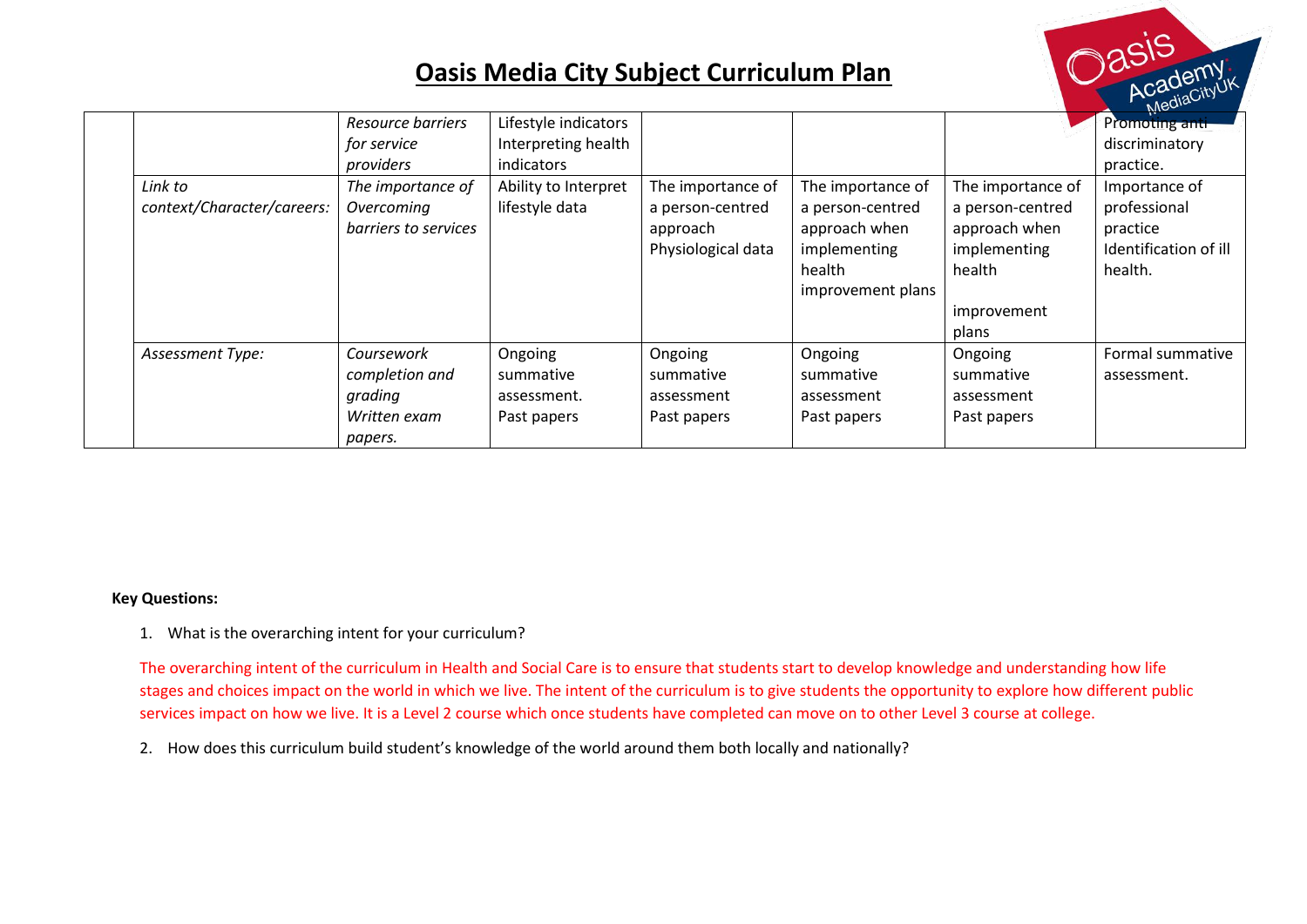

|                            |                          |                      |                    |                   |                   | $M_{\rm V}$           |
|----------------------------|--------------------------|----------------------|--------------------|-------------------|-------------------|-----------------------|
|                            | <b>Resource barriers</b> | Lifestyle indicators |                    |                   |                   | Promoting anti-       |
|                            | for service              | Interpreting health  |                    |                   |                   | discriminatory        |
|                            | providers                | <i>indicators</i>    |                    |                   |                   | practice.             |
| Link to                    | The importance of        | Ability to Interpret | The importance of  | The importance of | The importance of | Importance of         |
| context/Character/careers: | Overcoming               | lifestyle data       | a person-centred   | a person-centred  | a person-centred  | professional          |
|                            | barriers to services     |                      | approach           | approach when     | approach when     | practice              |
|                            |                          |                      | Physiological data | implementing      | implementing      | Identification of ill |
|                            |                          |                      |                    | health            | health            | health.               |
|                            |                          |                      |                    | improvement plans |                   |                       |
|                            |                          |                      |                    |                   | improvement       |                       |
|                            |                          |                      |                    |                   | plans             |                       |
| Assessment Type:           | Coursework               | Ongoing              | Ongoing            | Ongoing           | Ongoing           | Formal summative      |
|                            | completion and           | summative            | summative          | summative         | summative         | assessment.           |
|                            | grading                  | assessment.          | assessment         | assessment        | assessment        |                       |
|                            | Written exam             | Past papers          | Past papers        | Past papers       | Past papers       |                       |
|                            | papers.                  |                      |                    |                   |                   |                       |

#### **Key Questions:**

1. What is the overarching intent for your curriculum?

The overarching intent of the curriculum in Health and Social Care is to ensure that students start to develop knowledge and understanding how life stages and choices impact on the world in which we live. The intent of the curriculum is to give students the opportunity to explore how different public services impact on how we live. It is a Level 2 course which once students have completed can move on to other Level 3 course at college.

2. How does this curriculum build student's knowledge of the world around them both locally and nationally?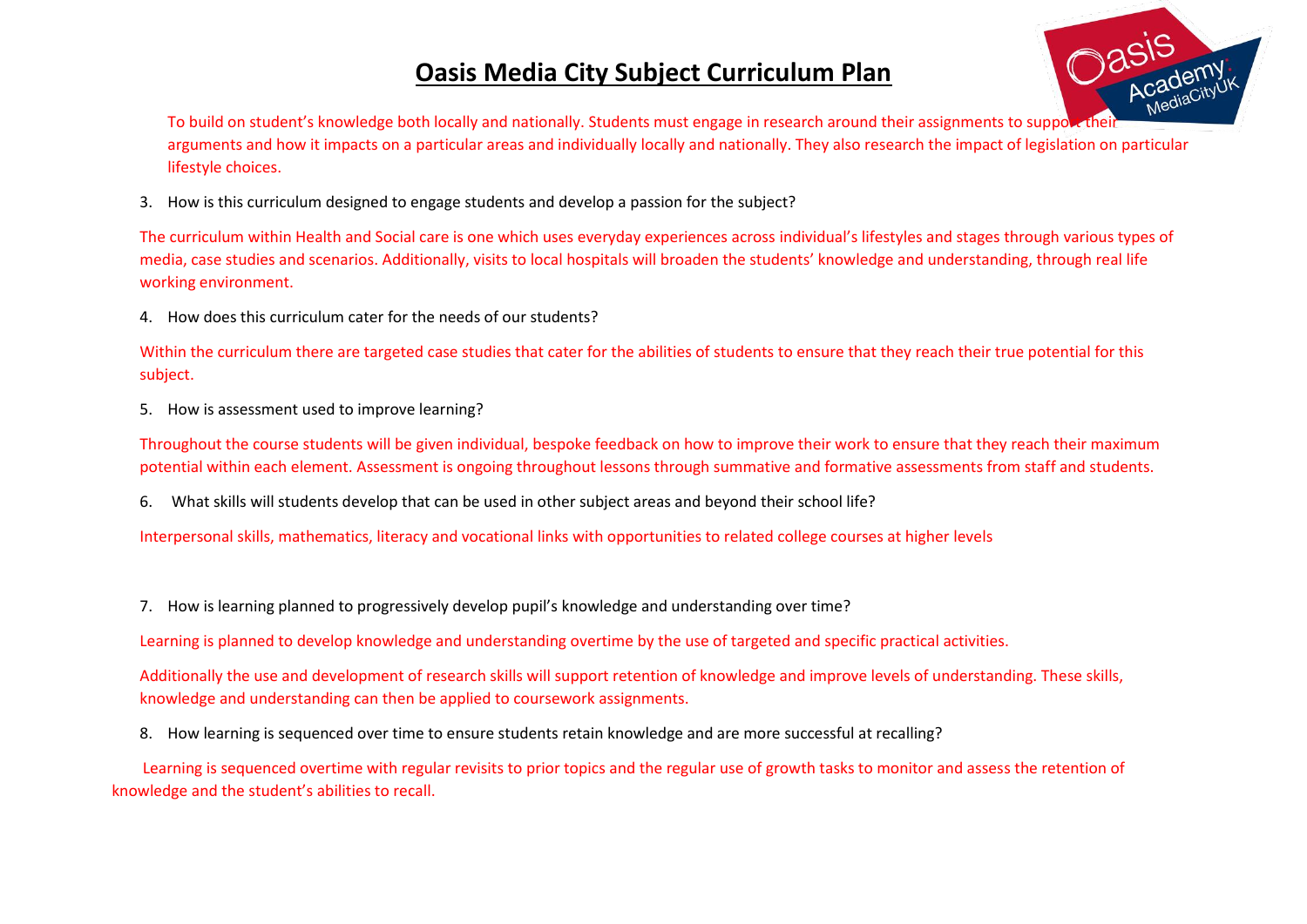

To build on student's knowledge both locally and nationally. Students must engage in research around their assignments to support their arguments and how it impacts on a particular areas and individually locally and nationally. They also research the impact of legislation on particular lifestyle choices.

3. How is this curriculum designed to engage students and develop a passion for the subject?

The curriculum within Health and Social care is one which uses everyday experiences across individual's lifestyles and stages through various types of media, case studies and scenarios. Additionally, visits to local hospitals will broaden the students' knowledge and understanding, through real life working environment.

4. How does this curriculum cater for the needs of our students?

Within the curriculum there are targeted case studies that cater for the abilities of students to ensure that they reach their true potential for this subject.

5. How is assessment used to improve learning?

Throughout the course students will be given individual, bespoke feedback on how to improve their work to ensure that they reach their maximum potential within each element. Assessment is ongoing throughout lessons through summative and formative assessments from staff and students.

6. What skills will students develop that can be used in other subject areas and beyond their school life?

Interpersonal skills, mathematics, literacy and vocational links with opportunities to related college courses at higher levels

7. How is learning planned to progressively develop pupil's knowledge and understanding over time?

Learning is planned to develop knowledge and understanding overtime by the use of targeted and specific practical activities.

Additionally the use and development of research skills will support retention of knowledge and improve levels of understanding. These skills, knowledge and understanding can then be applied to coursework assignments.

8. How learning is sequenced over time to ensure students retain knowledge and are more successful at recalling?

 Learning is sequenced overtime with regular revisits to prior topics and the regular use of growth tasks to monitor and assess the retention of knowledge and the student's abilities to recall.